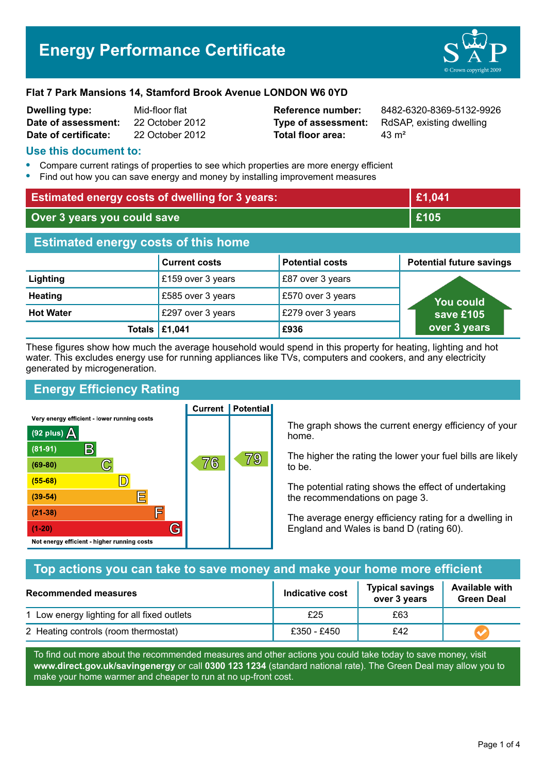# **Energy Performance Certificate**



#### **Flat 7 Park Mansions 14, Stamford Brook Avenue LONDON W6 0YD**

| <b>Dwelling type:</b> | Mid-floor flat  |
|-----------------------|-----------------|
| Date of assessment:   | 22 October 2012 |
| Date of certificate:  | 22 October 2012 |

**Total floor area:** 23 m<sup>2</sup>

**Reference number:** 8482-6320-8369-5132-9926 **Type of assessment:** RdSAP, existing dwelling

### **Use this document to:**

- **•** Compare current ratings of properties to see which properties are more energy efficient
- **•** Find out how you can save energy and money by installing improvement measures

| <b>Estimated energy costs of dwelling for 3 years:</b> |                                       |                        | £1,041                          |  |
|--------------------------------------------------------|---------------------------------------|------------------------|---------------------------------|--|
| Over 3 years you could save                            |                                       |                        | £105                            |  |
| <b>Estimated energy costs of this home</b>             |                                       |                        |                                 |  |
|                                                        | <b>Current costs</b>                  | <b>Potential costs</b> | <b>Potential future savings</b> |  |
| Lighting                                               | £159 over 3 years                     | £87 over 3 years       |                                 |  |
| <b>Heating</b>                                         | £585 over 3 years                     | £570 over 3 years      | <b>You could</b>                |  |
| <b>Hot Water</b>                                       | £297 over 3 years                     | £279 over 3 years      | save £105                       |  |
|                                                        | Totals $\left  \pounds 1,041 \right $ | £936                   | over 3 years                    |  |

These figures show how much the average household would spend in this property for heating, lighting and hot water. This excludes energy use for running appliances like TVs, computers and cookers, and any electricity generated by microgeneration.

# **Energy Efficiency Rating**

Very energy efficient - lower running costs



**Current | Potential** 

The graph shows the current energy efficiency of your home.

The higher the rating the lower your fuel bills are likely to be.

The potential rating shows the effect of undertaking the recommendations on page 3.

The average energy efficiency rating for a dwelling in England and Wales is band D (rating 60).

## **Top actions you can take to save money and make your home more efficient**

| Recommended measures                        | Indicative cost | <b>Typical savings</b><br>over 3 years | <b>Available with</b><br><b>Green Deal</b> |  |
|---------------------------------------------|-----------------|----------------------------------------|--------------------------------------------|--|
| 1 Low energy lighting for all fixed outlets | £25             | £63                                    |                                            |  |
| 2 Heating controls (room thermostat)        | £350 - £450     | £42                                    |                                            |  |

To find out more about the recommended measures and other actions you could take today to save money, visit **www.direct.gov.uk/savingenergy** or call **0300 123 1234** (standard national rate). The Green Deal may allow you to make your home warmer and cheaper to run at no up-front cost.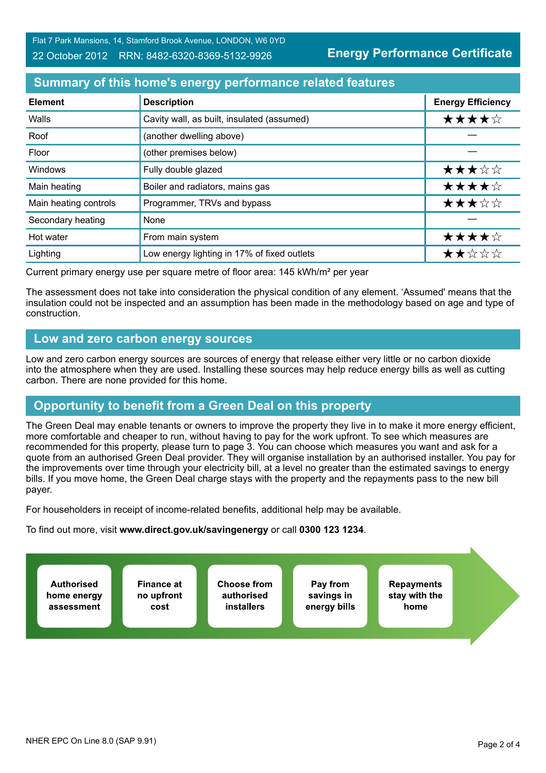**Energy Performance Certificate**

## **Summary of this home's energy performance related features**

| <b>Element</b>        | <b>Description</b>                          | <b>Energy Efficiency</b> |
|-----------------------|---------------------------------------------|--------------------------|
| Walls                 | Cavity wall, as built, insulated (assumed)  | ★★★★☆                    |
| Roof                  | (another dwelling above)                    |                          |
| Floor                 | (other premises below)                      |                          |
| <b>Windows</b>        | Fully double glazed                         | ★★★☆☆                    |
| Main heating          | Boiler and radiators, mains gas             | ★★★★☆                    |
| Main heating controls | Programmer, TRVs and bypass                 | ★★★☆☆                    |
| Secondary heating     | None                                        |                          |
| Hot water             | From main system                            | ★★★★☆                    |
| Lighting              | Low energy lighting in 17% of fixed outlets | ★★☆☆☆                    |

Current primary energy use per square metre of floor area: 145 kWh/m² per year

The assessment does not take into consideration the physical condition of any element. 'Assumed' means that the insulation could not be inspected and an assumption has been made in the methodology based on age and type of construction.

### **Low and zero carbon energy sources**

Low and zero carbon energy sources are sources of energy that release either very little or no carbon dioxide into the atmosphere when they are used. Installing these sources may help reduce energy bills as well as cutting carbon. There are none provided for this home.

# **Opportunity to benefit from a Green Deal on this property**

The Green Deal may enable tenants or owners to improve the property they live in to make it more energy efficient, more comfortable and cheaper to run, without having to pay for the work upfront. To see which measures are recommended for this property, please turn to page 3. You can choose which measures you want and ask for a quote from an authorised Green Deal provider. They will organise installation by an authorised installer. You pay for the improvements over time through your electricity bill, at a level no greater than the estimated savings to energy bills. If you move home, the Green Deal charge stays with the property and the repayments pass to the new bill payer.

For householders in receipt of income-related benefits, additional help may be available.

To find out more, visit **www.direct.gov.uk/savingenergy** or call **0300 123 1234**.

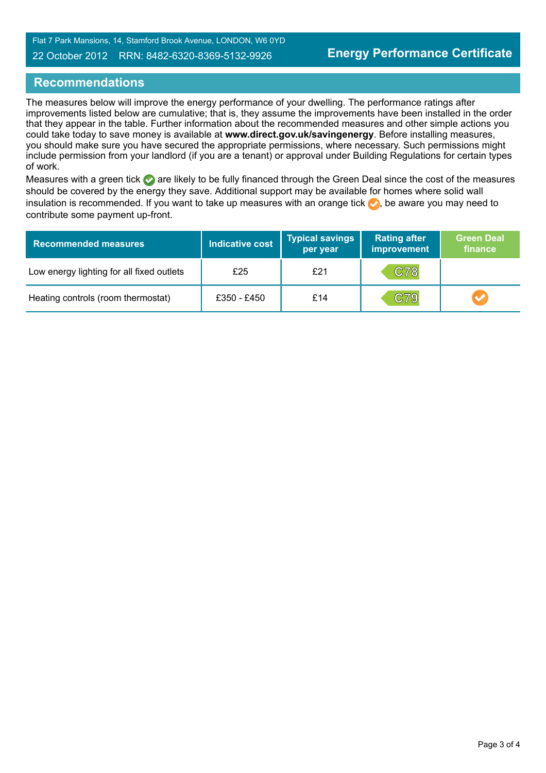Flat 7 Park Mansions, 14, Stamford Brook Avenue, LONDON, W6 0YD

#### 22 October 2012 RRN: 8482-6320-8369-5132-9926

## **Recommendations**

The measures below will improve the energy performance of your dwelling. The performance ratings after improvements listed below are cumulative; that is, they assume the improvements have been installed in the order that they appear in the table. Further information about the recommended measures and other simple actions you could take today to save money is available at **www.direct.gov.uk/savingenergy**. Before installing measures, you should make sure you have secured the appropriate permissions, where necessary. Such permissions might include permission from your landlord (if you are a tenant) or approval under Building Regulations for certain types of work.

Measures with a green tick are likely to be fully financed through the Green Deal since the cost of the measures should be covered by the energy they save. Additional support may be available for homes where solid wall insulation is recommended. If you want to take up measures with an orange tick  $\bullet$ , be aware you may need to contribute some payment up-front.

| <b>Recommended measures</b>               | <b>Indicative cost</b> | <b>Typical savings</b><br>per year | <b>Rating after</b><br>improvement | <b>Green Deal</b><br>finance |
|-------------------------------------------|------------------------|------------------------------------|------------------------------------|------------------------------|
| Low energy lighting for all fixed outlets | £25                    | £21                                | C78                                |                              |
| Heating controls (room thermostat)        | £350 - £450            | £14                                | C79                                |                              |